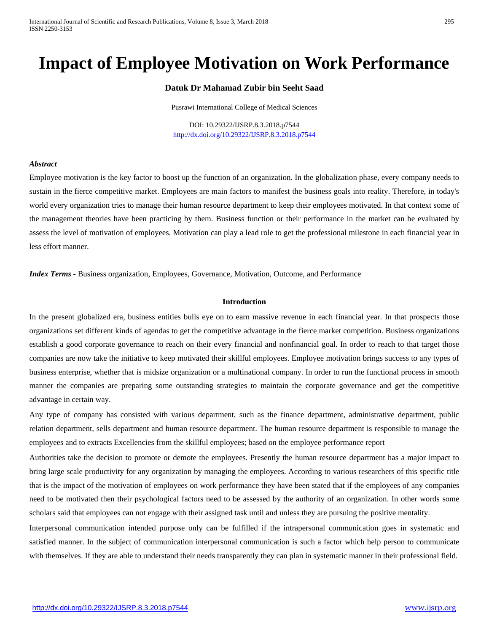# **Impact of Employee Motivation on Work Performance**

# **Datuk Dr Mahamad Zubir bin Seeht Saad**

Pusrawi International College of Medical Sciences

DOI: 10.29322/IJSRP.8.3.2018.p7544 <http://dx.doi.org/10.29322/IJSRP.8.3.2018.p7544>

#### *Abstract*

Employee motivation is the key factor to boost up the function of an organization. In the globalization phase, every company needs to sustain in the fierce competitive market. Employees are main factors to manifest the business goals into reality. Therefore, in today's world every organization tries to manage their human resource department to keep their employees motivated. In that context some of the management theories have been practicing by them. Business function or their performance in the market can be evaluated by assess the level of motivation of employees. Motivation can play a lead role to get the professional milestone in each financial year in less effort manner.

*Index Terms* **-** Business organization, Employees, Governance, Motivation, Outcome, and Performance

## **Introduction**

In the present globalized era, business entities bulls eye on to earn massive revenue in each financial year. In that prospects those organizations set different kinds of agendas to get the competitive advantage in the fierce market competition. Business organizations establish a good corporate governance to reach on their every financial and nonfinancial goal. In order to reach to that target those companies are now take the initiative to keep motivated their skillful employees. Employee motivation brings success to any types of business enterprise, whether that is midsize organization or a multinational company. In order to run the functional process in smooth manner the companies are preparing some outstanding strategies to maintain the corporate governance and get the competitive advantage in certain way.

Any type of company has consisted with various department, such as the finance department, administrative department, public relation department, sells department and human resource department. The human resource department is responsible to manage the employees and to extracts Excellencies from the skillful employees; based on the employee performance report

Authorities take the decision to promote or demote the employees. Presently the human resource department has a major impact to bring large scale productivity for any organization by managing the employees. According to various researchers of this specific title that is the impact of the motivation of employees on work performance they have been stated that if the employees of any companies need to be motivated then their psychological factors need to be assessed by the authority of an organization. In other words some scholars said that employees can not engage with their assigned task until and unless they are pursuing the positive mentality.

Interpersonal communication intended purpose only can be fulfilled if the intrapersonal communication goes in systematic and satisfied manner. In the subject of communication interpersonal communication is such a factor which help person to communicate with themselves. If they are able to understand their needs transparently they can plan in systematic manner in their professional field.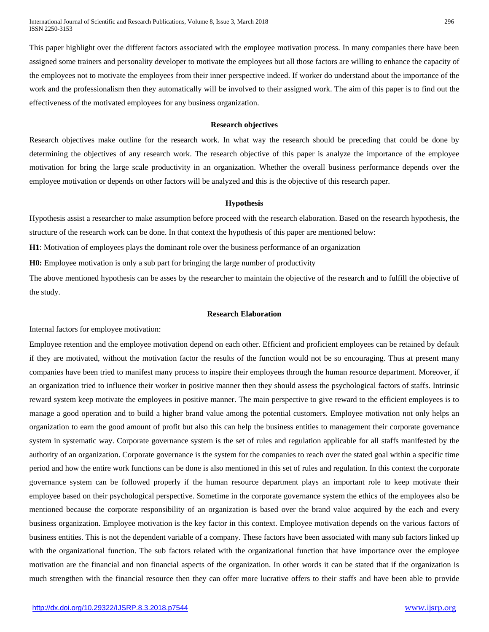International Journal of Scientific and Research Publications, Volume 8, Issue 3, March 2018 296 ISSN 2250-3153

This paper highlight over the different factors associated with the employee motivation process. In many companies there have been assigned some trainers and personality developer to motivate the employees but all those factors are willing to enhance the capacity of the employees not to motivate the employees from their inner perspective indeed. If worker do understand about the importance of the work and the professionalism then they automatically will be involved to their assigned work. The aim of this paper is to find out the effectiveness of the motivated employees for any business organization.

## **Research objectives**

Research objectives make outline for the research work. In what way the research should be preceding that could be done by determining the objectives of any research work. The research objective of this paper is analyze the importance of the employee motivation for bring the large scale productivity in an organization. Whether the overall business performance depends over the employee motivation or depends on other factors will be analyzed and this is the objective of this research paper.

### **Hypothesis**

Hypothesis assist a researcher to make assumption before proceed with the research elaboration. Based on the research hypothesis, the structure of the research work can be done. In that context the hypothesis of this paper are mentioned below:

**H1**: Motivation of employees plays the dominant role over the business performance of an organization

**H0:** Employee motivation is only a sub part for bringing the large number of productivity

The above mentioned hypothesis can be asses by the researcher to maintain the objective of the research and to fulfill the objective of the study.

## **Research Elaboration**

Internal factors for employee motivation:

Employee retention and the employee motivation depend on each other. Efficient and proficient employees can be retained by default if they are motivated, without the motivation factor the results of the function would not be so encouraging. Thus at present many companies have been tried to manifest many process to inspire their employees through the human resource department. Moreover, if an organization tried to influence their worker in positive manner then they should assess the psychological factors of staffs. Intrinsic reward system keep motivate the employees in positive manner. The main perspective to give reward to the efficient employees is to manage a good operation and to build a higher brand value among the potential customers. Employee motivation not only helps an organization to earn the good amount of profit but also this can help the business entities to management their corporate governance system in systematic way. Corporate governance system is the set of rules and regulation applicable for all staffs manifested by the authority of an organization. Corporate governance is the system for the companies to reach over the stated goal within a specific time period and how the entire work functions can be done is also mentioned in this set of rules and regulation. In this context the corporate governance system can be followed properly if the human resource department plays an important role to keep motivate their employee based on their psychological perspective. Sometime in the corporate governance system the ethics of the employees also be mentioned because the corporate responsibility of an organization is based over the brand value acquired by the each and every business organization. Employee motivation is the key factor in this context. Employee motivation depends on the various factors of business entities. This is not the dependent variable of a company. These factors have been associated with many sub factors linked up with the organizational function. The sub factors related with the organizational function that have importance over the employee motivation are the financial and non financial aspects of the organization. In other words it can be stated that if the organization is much strengthen with the financial resource then they can offer more lucrative offers to their staffs and have been able to provide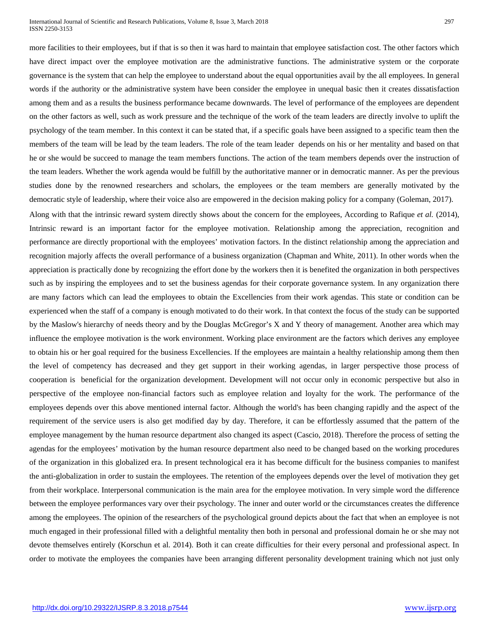#### International Journal of Scientific and Research Publications, Volume 8, Issue 3, March 2018 297 ISSN 2250-3153

more facilities to their employees, but if that is so then it was hard to maintain that employee satisfaction cost. The other factors which have direct impact over the employee motivation are the administrative functions. The administrative system or the corporate governance is the system that can help the employee to understand about the equal opportunities avail by the all employees. In general words if the authority or the administrative system have been consider the employee in unequal basic then it creates dissatisfaction among them and as a results the business performance became downwards. The level of performance of the employees are dependent on the other factors as well, such as work pressure and the technique of the work of the team leaders are directly involve to uplift the psychology of the team member. In this context it can be stated that, if a specific goals have been assigned to a specific team then the members of the team will be lead by the team leaders. The role of the team leader depends on his or her mentality and based on that he or she would be succeed to manage the team members functions. The action of the team members depends over the instruction of the team leaders. Whether the work agenda would be fulfill by the authoritative manner or in democratic manner. As per the previous studies done by the renowned researchers and scholars, the employees or the team members are generally motivated by the democratic style of leadership, where their voice also are empowered in the decision making policy for a company (Goleman, 2017).

Along with that the intrinsic reward system directly shows about the concern for the employees, According to Rafique *et al.* (2014), Intrinsic reward is an important factor for the employee motivation. Relationship among the appreciation, recognition and performance are directly proportional with the employees' motivation factors. In the distinct relationship among the appreciation and recognition majorly affects the overall performance of a business organization (Chapman and White, 2011). In other words when the appreciation is practically done by recognizing the effort done by the workers then it is benefited the organization in both perspectives such as by inspiring the employees and to set the business agendas for their corporate governance system. In any organization there are many factors which can lead the employees to obtain the Excellencies from their work agendas. This state or condition can be experienced when the staff of a company is enough motivated to do their work. In that context the focus of the study can be supported by the Maslow's hierarchy of needs theory and by the Douglas McGregor's X and Y theory of management. Another area which may influence the employee motivation is the work environment. Working place environment are the factors which derives any employee to obtain his or her goal required for the business Excellencies. If the employees are maintain a healthy relationship among them then the level of competency has decreased and they get support in their working agendas, in larger perspective those process of cooperation is beneficial for the organization development. Development will not occur only in economic perspective but also in perspective of the employee non-financial factors such as employee relation and loyalty for the work. The performance of the employees depends over this above mentioned internal factor. Although the world's has been changing rapidly and the aspect of the requirement of the service users is also get modified day by day. Therefore, it can be effortlessly assumed that the pattern of the employee management by the human resource department also changed its aspect (Cascio, 2018). Therefore the process of setting the agendas for the employees' motivation by the human resource department also need to be changed based on the working procedures of the organization in this globalized era. In present technological era it has become difficult for the business companies to manifest the anti-globalization in order to sustain the employees. The retention of the employees depends over the level of motivation they get from their workplace. Interpersonal communication is the main area for the employee motivation. In very simple word the difference between the employee performances vary over their psychology. The inner and outer world or the circumstances creates the difference among the employees. The opinion of the researchers of the psychological ground depicts about the fact that when an employee is not much engaged in their professional filled with a delightful mentality then both in personal and professional domain he or she may not devote themselves entirely (Korschun et al. 2014). Both it can create difficulties for their every personal and professional aspect. In order to motivate the employees the companies have been arranging different personality development training which not just only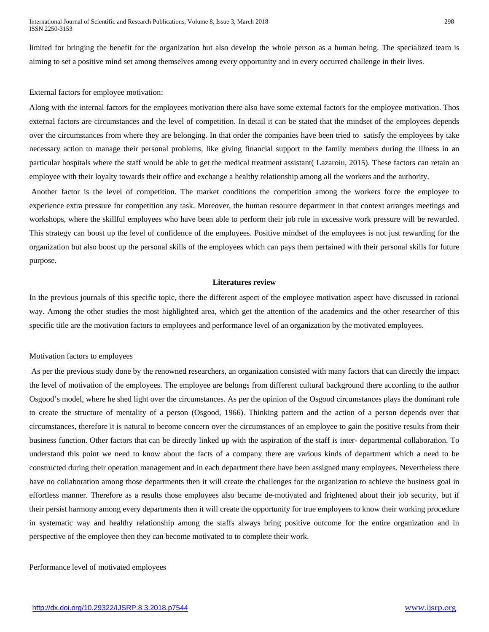limited for bringing the benefit for the organization but also develop the whole person as a human being. The specialized team is aiming to set a positive mind set among themselves among every opportunity and in every occurred challenge in their lives.

## External factors for employee motivation:

Along with the internal factors for the employees motivation there also have some external factors for the employee motivation. Thos external factors are circumstances and the level of competition. In detail it can be stated that the mindset of the employees depends over the circumstances from where they are belonging. In that order the companies have been tried to satisfy the employees by take necessary action to manage their personal problems, like giving financial support to the family members during the illness in an particular hospitals where the staff would be able to get the medical treatment assistant( Lazaroiu, 2015). These factors can retain an employee with their loyalty towards their office and exchange a healthy relationship among all the workers and the authority.

Another factor is the level of competition. The market conditions the competition among the workers force the employee to experience extra pressure for competition any task. Moreover, the human resource department in that context arranges meetings and workshops, where the skillful employees who have been able to perform their job role in excessive work pressure will be rewarded. This strategy can boost up the level of confidence of the employees. Positive mindset of the employees is not just rewarding for the organization but also boost up the personal skills of the employees which can pays them pertained with their personal skills for future purpose.

### **Literatures review**

In the previous journals of this specific topic, there the different aspect of the employee motivation aspect have discussed in rational way. Among the other studies the most highlighted area, which get the attention of the academics and the other researcher of this specific title are the motivation factors to employees and performance level of an organization by the motivated employees.

# Motivation factors to employees

As per the previous study done by the renowned researchers, an organization consisted with many factors that can directly the impact the level of motivation of the employees. The employee are belongs from different cultural background there according to the author Osgood's model, where he shed light over the circumstances. As per the opinion of the Osgood circumstances plays the dominant role to create the structure of mentality of a person (Osgood, 1966). Thinking pattern and the action of a person depends over that circumstances, therefore it is natural to become concern over the circumstances of an employee to gain the positive results from their business function. Other factors that can be directly linked up with the aspiration of the staff is inter- departmental collaboration. To understand this point we need to know about the facts of a company there are various kinds of department which a need to be constructed during their operation management and in each department there have been assigned many employees. Nevertheless there have no collaboration among those departments then it will create the challenges for the organization to achieve the business goal in effortless manner. Therefore as a results those employees also became de-motivated and frightened about their job security, but if their persist harmony among every departments then it will create the opportunity for true employees to know their working procedure in systematic way and healthy relationship among the staffs always bring positive outcome for the entire organization and in perspective of the employee then they can become motivated to to complete their work.

# Performance level of motivated employees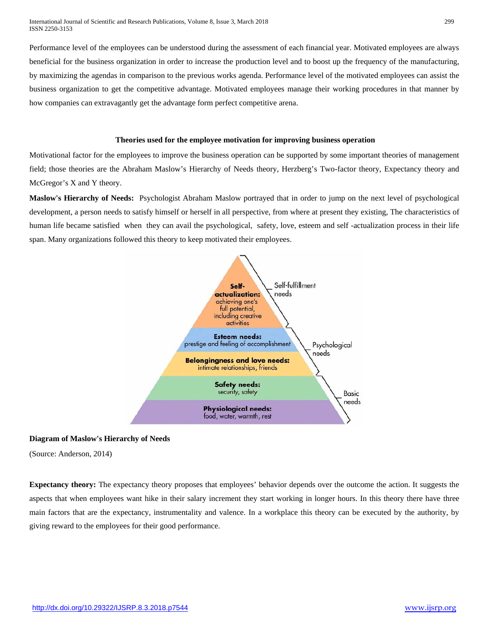Performance level of the employees can be understood during the assessment of each financial year. Motivated employees are always beneficial for the business organization in order to increase the production level and to boost up the frequency of the manufacturing, by maximizing the agendas in comparison to the previous works agenda. Performance level of the motivated employees can assist the business organization to get the competitive advantage. Motivated employees manage their working procedures in that manner by how companies can extravagantly get the advantage form perfect competitive arena.

## **Theories used for the employee motivation for improving business operation**

Motivational factor for the employees to improve the business operation can be supported by some important theories of management field; those theories are the Abraham Maslow's Hierarchy of Needs theory, Herzberg's Two-factor theory, Expectancy theory and McGregor's X and Y theory.

**Maslow's Hierarchy of Needs:** Psychologist Abraham Maslow portrayed that in order to jump on the next level of psychological development, a person needs to satisfy himself or herself in all perspective, from where at present they existing, The characteristics of human life became satisfied when they can avail the psychological, safety, love, esteem and self -actualization process in their life span. Many organizations followed this theory to keep motivated their employees.



# **Diagram of Maslow's Hierarchy of Needs**

(Source: Anderson, 2014)

**Expectancy theory:** The expectancy theory proposes that employees' behavior depends over the outcome the action. It suggests the aspects that when employees want hike in their salary increment they start working in longer hours. In this theory there have three main factors that are the expectancy, instrumentality and valence. In a workplace this theory can be executed by the authority, by giving reward to the employees for their good performance.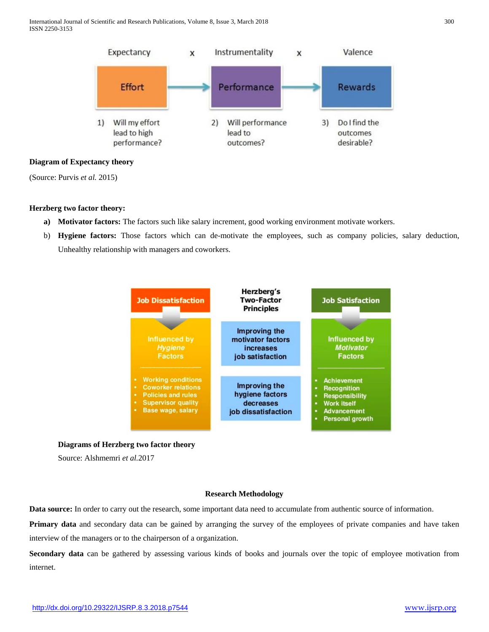International Journal of Scientific and Research Publications, Volume 8, Issue 3, March 2018 300 ISSN 2250-3153



# **Diagram of Expectancy theory**

(Source: Purvis *et al.* 2015)

# **Herzberg two factor theory:**

- **a) Motivator factors:** The factors such like salary increment, good working environment motivate workers.
- b) **Hygiene factors:** Those factors which can de-motivate the employees, such as company policies, salary deduction, Unhealthy relationship with managers and coworkers.



## **Diagrams of Herzberg two factor theory**

Source: Alshmemri *et al.*2017

## **Research Methodology**

**Data source:** In order to carry out the research, some important data need to accumulate from authentic source of information.

**Primary data** and secondary data can be gained by arranging the survey of the employees of private companies and have taken interview of the managers or to the chairperson of a organization.

**Secondary data** can be gathered by assessing various kinds of books and journals over the topic of employee motivation from internet.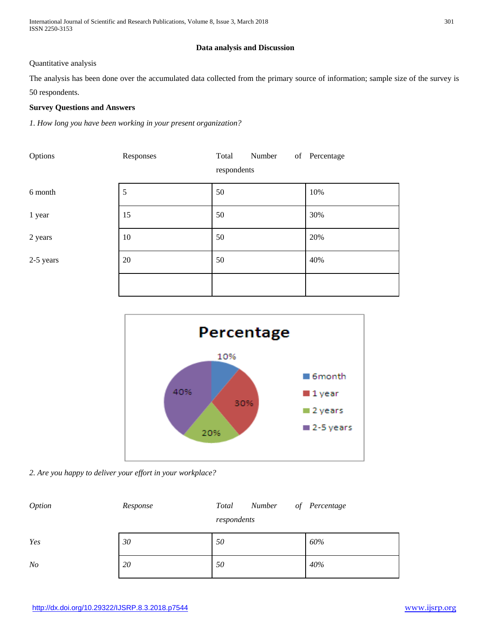International Journal of Scientific and Research Publications, Volume 8, Issue 3, March 2018 301 ISSN 2250-3153

# **Data analysis and Discussion**

# Quantitative analysis

The analysis has been done over the accumulated data collected from the primary source of information; sample size of the survey is 50 respondents.

# **Survey Questions and Answers**

*1. How long you have been working in your present organization?*

| Options   | Responses | Total<br>Number<br>respondents | of Percentage |
|-----------|-----------|--------------------------------|---------------|
| 6 month   | 5         | 50                             | 10%           |
| 1 year    | 15        | 50                             | 30%           |
| 2 years   | 10        | 50                             | 20%           |
| 2-5 years | $20\,$    | 50                             | 40%           |
|           |           |                                |               |





| <i>Option</i>  | Response | Total<br>Number<br>respondents | of Percentage |
|----------------|----------|--------------------------------|---------------|
| Yes            | 30       | 50                             | 60%           |
| N <sub>O</sub> | 20       | 50                             | 40%           |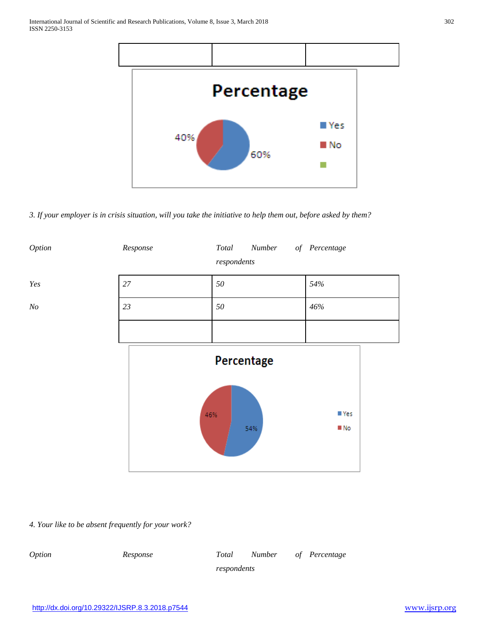

*3. If your employer is in crisis situation, will you take the initiative to help them out, before asked by them?*



*4. Your like to be absent frequently for your work?*

| <i>Option</i> | Response | Total       | Number of Percentage |  |
|---------------|----------|-------------|----------------------|--|
|               |          | respondents |                      |  |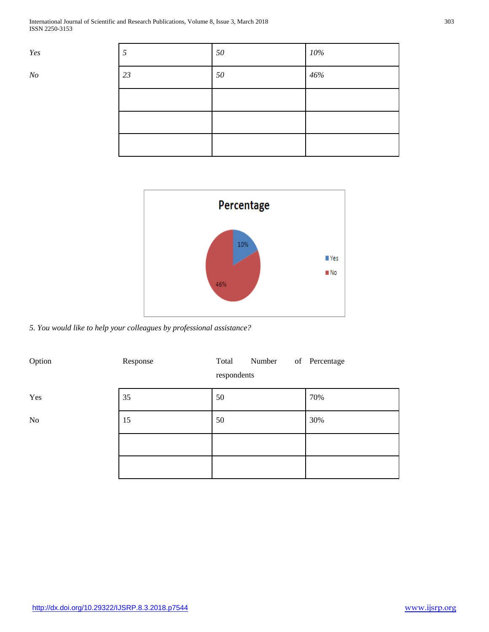International Journal of Scientific and Research Publications, Volume 8, Issue 3, March 2018 303 ISSN 2250-3153

| Yes   | 5  | 50     | 10% |
|-------|----|--------|-----|
| $N_O$ | 23 | $50\,$ | 46% |
|       |    |        |     |
|       |    |        |     |
|       |    |        |     |



*5. You would like to help your colleagues by professional assistance?*

| Option | Response | Number<br>Total<br>respondents | of Percentage |
|--------|----------|--------------------------------|---------------|
| Yes    | 35       | 50                             | 70%           |
| No     | 15       | 50                             | 30%           |
|        |          |                                |               |
|        |          |                                |               |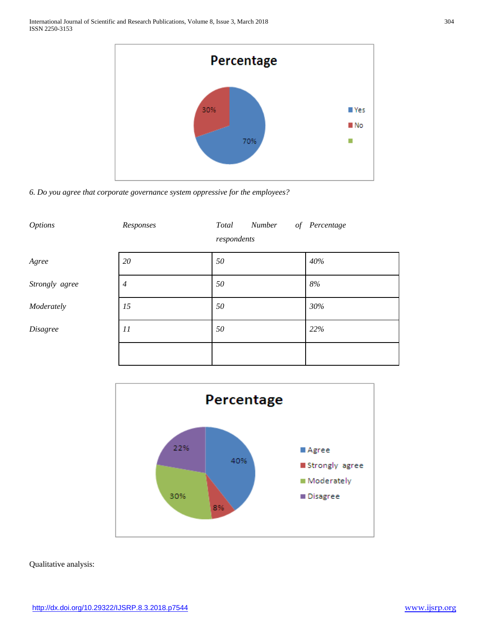

*6. Do you agree that corporate governance system oppressive for the employees?*

| <b>Options</b>  | Responses      | <b>Number</b><br>Total<br>of<br>respondents | Percentage |
|-----------------|----------------|---------------------------------------------|------------|
| Agree           | 20             | 50                                          | 40%        |
| Strongly agree  | $\overline{4}$ | 50                                          | $8\%$      |
| Moderately      | 15             | 50                                          | 30%        |
| <b>Disagree</b> | 11             | 50                                          | 22%        |
|                 |                |                                             |            |



Qualitative analysis: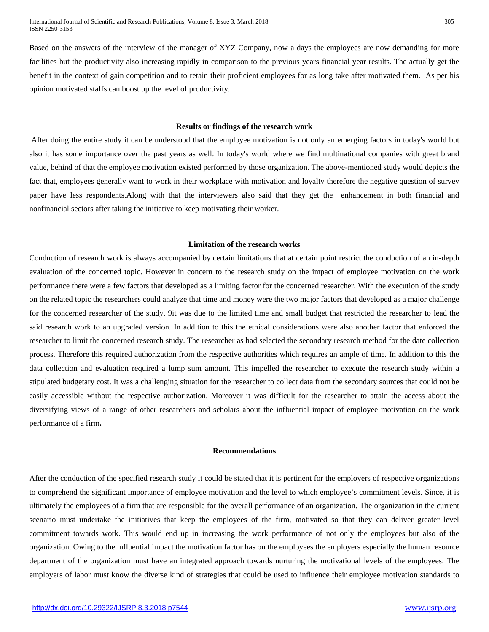Based on the answers of the interview of the manager of XYZ Company, now a days the employees are now demanding for more facilities but the productivity also increasing rapidly in comparison to the previous years financial year results. The actually get the benefit in the context of gain competition and to retain their proficient employees for as long take after motivated them. As per his opinion motivated staffs can boost up the level of productivity.

#### **Results or findings of the research work**

After doing the entire study it can be understood that the employee motivation is not only an emerging factors in today's world but also it has some importance over the past years as well. In today's world where we find multinational companies with great brand value, behind of that the employee motivation existed performed by those organization. The above-mentioned study would depicts the fact that, employees generally want to work in their workplace with motivation and loyalty therefore the negative question of survey paper have less respondents.Along with that the interviewers also said that they get the enhancement in both financial and nonfinancial sectors after taking the initiative to keep motivating their worker.

## **Limitation of the research works**

Conduction of research work is always accompanied by certain limitations that at certain point restrict the conduction of an in-depth evaluation of the concerned topic. However in concern to the research study on the impact of employee motivation on the work performance there were a few factors that developed as a limiting factor for the concerned researcher. With the execution of the study on the related topic the researchers could analyze that time and money were the two major factors that developed as a major challenge for the concerned researcher of the study. 9it was due to the limited time and small budget that restricted the researcher to lead the said research work to an upgraded version. In addition to this the ethical considerations were also another factor that enforced the researcher to limit the concerned research study. The researcher as had selected the secondary research method for the date collection process. Therefore this required authorization from the respective authorities which requires an ample of time. In addition to this the data collection and evaluation required a lump sum amount. This impelled the researcher to execute the research study within a stipulated budgetary cost. It was a challenging situation for the researcher to collect data from the secondary sources that could not be easily accessible without the respective authorization. Moreover it was difficult for the researcher to attain the access about the diversifying views of a range of other researchers and scholars about the influential impact of employee motivation on the work performance of a firm**.**

## **Recommendations**

After the conduction of the specified research study it could be stated that it is pertinent for the employers of respective organizations to comprehend the significant importance of employee motivation and the level to which employee's commitment levels. Since, it is ultimately the employees of a firm that are responsible for the overall performance of an organization. The organization in the current scenario must undertake the initiatives that keep the employees of the firm, motivated so that they can deliver greater level commitment towards work. This would end up in increasing the work performance of not only the employees but also of the organization. Owing to the influential impact the motivation factor has on the employees the employers especially the human resource department of the organization must have an integrated approach towards nurturing the motivational levels of the employees. The employers of labor must know the diverse kind of strategies that could be used to influence their employee motivation standards to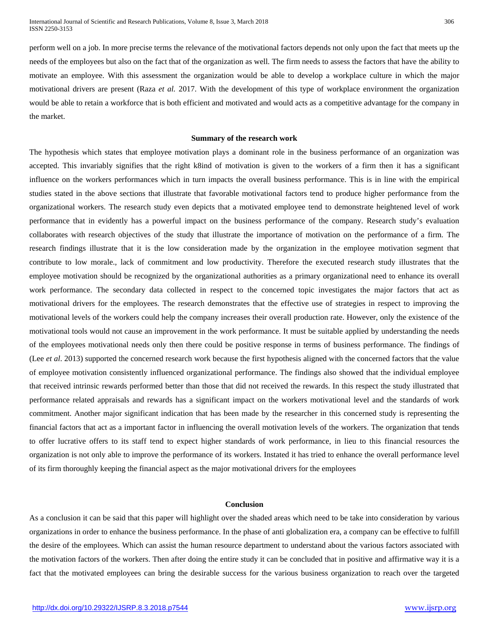perform well on a job. In more precise terms the relevance of the motivational factors depends not only upon the fact that meets up the needs of the employees but also on the fact that of the organization as well. The firm needs to assess the factors that have the ability to motivate an employee. With this assessment the organization would be able to develop a workplace culture in which the major motivational drivers are present (Raza *et al.* 2017. With the development of this type of workplace environment the organization would be able to retain a workforce that is both efficient and motivated and would acts as a competitive advantage for the company in the market.

#### **Summary of the research work**

The hypothesis which states that employee motivation plays a dominant role in the business performance of an organization was accepted. This invariably signifies that the right k8ind of motivation is given to the workers of a firm then it has a significant influence on the workers performances which in turn impacts the overall business performance. This is in line with the empirical studies stated in the above sections that illustrate that favorable motivational factors tend to produce higher performance from the organizational workers. The research study even depicts that a motivated employee tend to demonstrate heightened level of work performance that in evidently has a powerful impact on the business performance of the company. Research study's evaluation collaborates with research objectives of the study that illustrate the importance of motivation on the performance of a firm. The research findings illustrate that it is the low consideration made by the organization in the employee motivation segment that contribute to low morale., lack of commitment and low productivity. Therefore the executed research study illustrates that the employee motivation should be recognized by the organizational authorities as a primary organizational need to enhance its overall work performance. The secondary data collected in respect to the concerned topic investigates the major factors that act as motivational drivers for the employees. The research demonstrates that the effective use of strategies in respect to improving the motivational levels of the workers could help the company increases their overall production rate. However, only the existence of the motivational tools would not cause an improvement in the work performance. It must be suitable applied by understanding the needs of the employees motivational needs only then there could be positive response in terms of business performance. The findings of (Lee *et al*. 2013) supported the concerned research work because the first hypothesis aligned with the concerned factors that the value of employee motivation consistently influenced organizational performance. The findings also showed that the individual employee that received intrinsic rewards performed better than those that did not received the rewards. In this respect the study illustrated that performance related appraisals and rewards has a significant impact on the workers motivational level and the standards of work commitment. Another major significant indication that has been made by the researcher in this concerned study is representing the financial factors that act as a important factor in influencing the overall motivation levels of the workers. The organization that tends to offer lucrative offers to its staff tend to expect higher standards of work performance, in lieu to this financial resources the organization is not only able to improve the performance of its workers. Instated it has tried to enhance the overall performance level of its firm thoroughly keeping the financial aspect as the major motivational drivers for the employees

# **Conclusion**

As a conclusion it can be said that this paper will highlight over the shaded areas which need to be take into consideration by various organizations in order to enhance the business performance. In the phase of anti globalization era, a company can be effective to fulfill the desire of the employees. Which can assist the human resource department to understand about the various factors associated with the motivation factors of the workers. Then after doing the entire study it can be concluded that in positive and affirmative way it is a fact that the motivated employees can bring the desirable success for the various business organization to reach over the targeted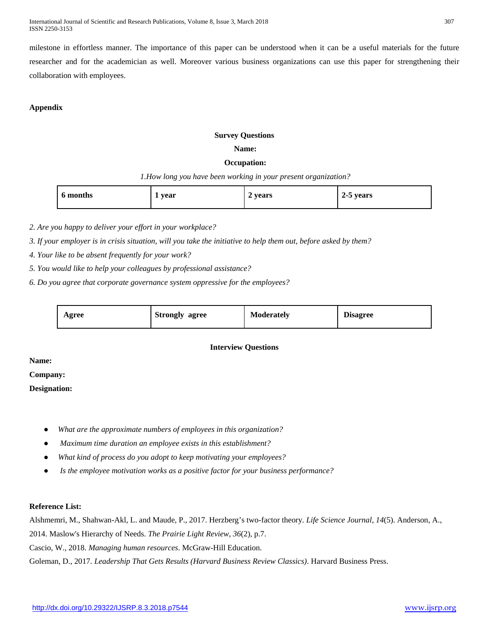International Journal of Scientific and Research Publications, Volume 8, Issue 3, March 2018 307 ISSN 2250-3153

milestone in effortless manner. The importance of this paper can be understood when it can be a useful materials for the future researcher and for the academician as well. Moreover various business organizations can use this paper for strengthening their collaboration with employees.

# **Appendix**

# **Survey Questions**

## **Name:**

# **Occupation:**

*1.How long you have been working in your present organization?*

| 6 months<br>$\overline{\phantom{a}}$ | year | years<br>∼ | 5 years<br>-45<br>~ |
|--------------------------------------|------|------------|---------------------|
|--------------------------------------|------|------------|---------------------|

*2. Are you happy to deliver your effort in your workplace?*

*3. If your employer is in crisis situation, will you take the initiative to help them out, before asked by them?*

*4. Your like to be absent frequently for your work?*

*5. You would like to help your colleagues by professional assistance?*

*6. Do you agree that corporate governance system oppressive for the employees?*

| Agree | <b>Strongly</b><br>agree | <b>Moderately</b> | Disagree |
|-------|--------------------------|-------------------|----------|
|-------|--------------------------|-------------------|----------|

# **Interview Questions**

**Name:**

**Company:**

**Designation:** 

- What are the approximate numbers of employees in this organization?
- *Maximum time duration an employee exists in this establishment?*
- What kind of process do you adopt to keep motivating your employees?
- Is the employee motivation works as a positive factor for your business performance?

# **Reference List:**

Alshmemri, M., Shahwan-Akl, L. and Maude, P., 2017. Herzberg's two-factor theory. *Life Science Journal*, *14*(5). Anderson, A., 2014. Maslow's Hierarchy of Needs. *The Prairie Light Review*, *36*(2), p.7. Cascio, W., 2018. *Managing human resources*. McGraw-Hill Education. Goleman, D., 2017. *Leadership That Gets Results (Harvard Business Review Classics)*. Harvard Business Press.